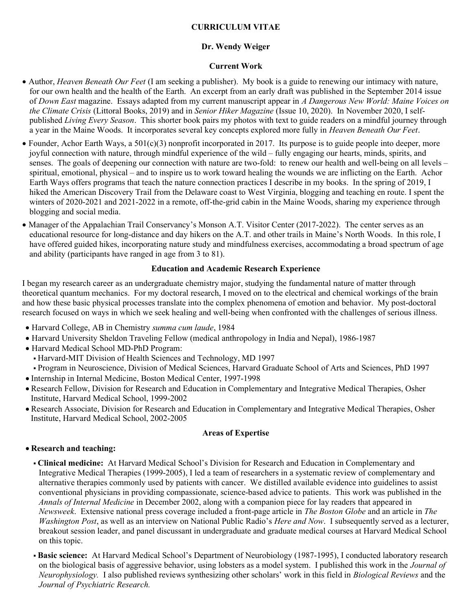# CURRICULUM VITAE

# Dr. Wendy Weiger

## Current Work

- Author, *Heaven Beneath Our Feet* (I am seeking a publisher). My book is a guide to renewing our intimacy with nature, for our own health and the health of the Earth. An excerpt from an early draft was published in the September 2014 issue of Down East magazine. Essays adapted from my current manuscript appear in A Dangerous New World: Maine Voices on the Climate Crisis (Littoral Books, 2019) and in Senior Hiker Magazine (Issue 10, 2020). In November 2020, I selfpublished Living Every Season. This shorter book pairs my photos with text to guide readers on a mindful journey through a year in the Maine Woods. It incorporates several key concepts explored more fully in Heaven Beneath Our Feet.
- Founder, Achor Earth Ways, a 501(c)(3) nonprofit incorporated in 2017. Its purpose is to guide people into deeper, more joyful connection with nature, through mindful experience of the wild – fully engaging our hearts, minds, spirits, and senses. The goals of deepening our connection with nature are two-fold: to renew our health and well-being on all levels – spiritual, emotional, physical – and to inspire us to work toward healing the wounds we are inflicting on the Earth. Achor Earth Ways offers programs that teach the nature connection practices I describe in my books. In the spring of 2019, I hiked the American Discovery Trail from the Delaware coast to West Virginia, blogging and teaching en route. I spent the winters of 2020-2021 and 2021-2022 in a remote, off-the-grid cabin in the Maine Woods, sharing my experience through blogging and social media.
- Manager of the Appalachian Trail Conservancy's Monson A.T. Visitor Center (2017-2022). The center serves as an educational resource for long-distance and day hikers on the A.T. and other trails in Maine's North Woods. In this role, I have offered guided hikes, incorporating nature study and mindfulness exercises, accommodating a broad spectrum of age and ability (participants have ranged in age from 3 to 81).

#### Education and Academic Research Experience

I began my research career as an undergraduate chemistry major, studying the fundamental nature of matter through theoretical quantum mechanics. For my doctoral research, I moved on to the electrical and chemical workings of the brain and how these basic physical processes translate into the complex phenomena of emotion and behavior. My post-doctoral research focused on ways in which we seek healing and well-being when confronted with the challenges of serious illness.

- Harvard College, AB in Chemistry summa cum laude, 1984
- Harvard University Sheldon Traveling Fellow (medical anthropology in India and Nepal), 1986-1987
- Harvard Medical School MD-PhD Program:
	- Harvard-MIT Division of Health Sciences and Technology, MD 1997
- Program in Neuroscience, Division of Medical Sciences, Harvard Graduate School of Arts and Sciences, PhD 1997
- Internship in Internal Medicine, Boston Medical Center, 1997-1998
- Research Fellow, Division for Research and Education in Complementary and Integrative Medical Therapies, Osher Institute, Harvard Medical School, 1999-2002
- Research Associate, Division for Research and Education in Complementary and Integrative Medical Therapies, Osher Institute, Harvard Medical School, 2002-2005

#### Areas of Expertise

## Research and teaching:

- Clinical medicine: At Harvard Medical School's Division for Research and Education in Complementary and Integrative Medical Therapies (1999-2005), I led a team of researchers in a systematic review of complementary and alternative therapies commonly used by patients with cancer. We distilled available evidence into guidelines to assist conventional physicians in providing compassionate, science-based advice to patients. This work was published in the Annals of Internal Medicine in December 2002, along with a companion piece for lay readers that appeared in Newsweek. Extensive national press coverage included a front-page article in The Boston Globe and an article in The Washington Post, as well as an interview on National Public Radio's Here and Now. I subsequently served as a lecturer, breakout session leader, and panel discussant in undergraduate and graduate medical courses at Harvard Medical School on this topic.
- **Basic science:** At Harvard Medical School's Department of Neurobiology (1987-1995), I conducted laboratory research on the biological basis of aggressive behavior, using lobsters as a model system. I published this work in the Journal of Neurophysiology. I also published reviews synthesizing other scholars' work in this field in Biological Reviews and the Journal of Psychiatric Research.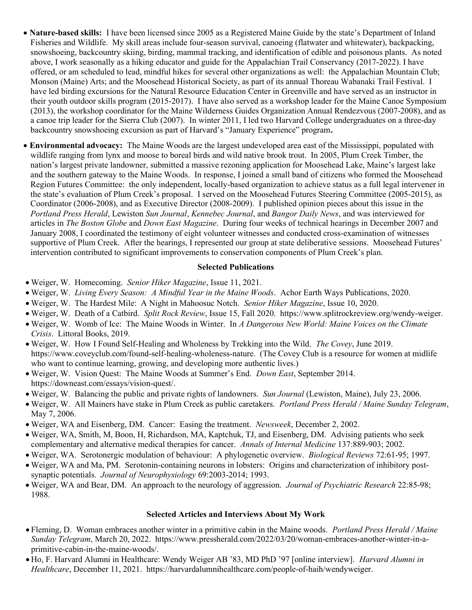- Nature-based skills: I have been licensed since 2005 as a Registered Maine Guide by the state's Department of Inland Fisheries and Wildlife. My skill areas include four-season survival, canoeing (flatwater and whitewater), backpacking, snowshoeing, backcountry skiing, birding, mammal tracking, and identification of edible and poisonous plants. As noted above, I work seasonally as a hiking educator and guide for the Appalachian Trail Conservancy (2017-2022). I have offered, or am scheduled to lead, mindful hikes for several other organizations as well: the Appalachian Mountain Club; Monson (Maine) Arts; and the Moosehead Historical Society, as part of its annual Thoreau Wabanaki Trail Festival. I have led birding excursions for the Natural Resource Education Center in Greenville and have served as an instructor in their youth outdoor skills program (2015-2017). I have also served as a workshop leader for the Maine Canoe Symposium (2013), the workshop coordinator for the Maine Wilderness Guides Organization Annual Rendezvous (2007-2008), and as a canoe trip leader for the Sierra Club (2007). In winter 2011, I led two Harvard College undergraduates on a three-day backcountry snowshoeing excursion as part of Harvard's "January Experience" program.
- Environmental advocacy: The Maine Woods are the largest undeveloped area east of the Mississippi, populated with wildlife ranging from lynx and moose to boreal birds and wild native brook trout. In 2005, Plum Creek Timber, the nation's largest private landowner, submitted a massive rezoning application for Moosehead Lake, Maine's largest lake and the southern gateway to the Maine Woods. In response, I joined a small band of citizens who formed the Moosehead Region Futures Committee: the only independent, locally-based organization to achieve status as a full legal intervener in the state's evaluation of Plum Creek's proposal. I served on the Moosehead Futures Steering Committee (2005-2015), as Coordinator (2006-2008), and as Executive Director (2008-2009). I published opinion pieces about this issue in the Portland Press Herald, Lewiston Sun Journal, Kennebec Journal, and Bangor Daily News, and was interviewed for articles in The Boston Globe and Down East Magazine. During four weeks of technical hearings in December 2007 and January 2008, I coordinated the testimony of eight volunteer witnesses and conducted cross-examination of witnesses supportive of Plum Creek. After the hearings, I represented our group at state deliberative sessions. Moosehead Futures' intervention contributed to significant improvements to conservation components of Plum Creek's plan.

#### Selected Publications

- Weiger, W. Homecoming. Senior Hiker Magazine, Issue 11, 2021.
- Weiger, W. Living Every Season: A Mindful Year in the Maine Woods. Achor Earth Ways Publications, 2020.
- Weiger, W. The Hardest Mile: A Night in Mahoosuc Notch. Senior Hiker Magazine, Issue 10, 2020.
- Weiger, W. Death of a Catbird. Split Rock Review, Issue 15, Fall 2020. https://www.splitrockreview.org/wendy-weiger.
- Weiger, W. Womb of Ice: The Maine Woods in Winter. In A Dangerous New World: Maine Voices on the Climate Crisis. Littoral Books, 2019.
- Weiger, W. How I Found Self-Healing and Wholeness by Trekking into the Wild. The Covey, June 2019. https://www.coveyclub.com/found-self-healing-wholeness-nature. (The Covey Club is a resource for women at midlife who want to continue learning, growing, and developing more authentic lives.)
- Weiger, W. Vision Quest: The Maine Woods at Summer's End. Down East, September 2014. https://downeast.com/essays/vision-quest/.
- Weiger, W. Balancing the public and private rights of landowners. Sun Journal (Lewiston, Maine), July 23, 2006.
- Weiger, W. All Mainers have stake in Plum Creek as public caretakers. Portland Press Herald / Maine Sunday Telegram, May 7, 2006.
- Weiger, WA and Eisenberg, DM. Cancer: Easing the treatment. Newsweek, December 2, 2002.
- Weiger, WA, Smith, M, Boon, H, Richardson, MA, Kaptchuk, TJ, and Eisenberg, DM. Advising patients who seek complementary and alternative medical therapies for cancer. Annals of Internal Medicine 137:889-903; 2002.
- Weiger, WA. Serotonergic modulation of behaviour: A phylogenetic overview. Biological Reviews 72:61-95; 1997.
- Weiger, WA and Ma, PM. Serotonin-containing neurons in lobsters: Origins and characterization of inhibitory postsynaptic potentials. Journal of Neurophysiology 69:2003-2014; 1993.
- Weiger, WA and Bear, DM. An approach to the neurology of aggression. Journal of Psychiatric Research 22:85-98; 1988.

#### Selected Articles and Interviews About My Work

- Fleming, D. Woman embraces another winter in a primitive cabin in the Maine woods. Portland Press Herald / Maine Sunday Telegram, March 20, 2022. https://www.pressherald.com/2022/03/20/woman-embraces-another-winter-in-aprimitive-cabin-in-the-maine-woods/.
- Ho, F. Harvard Alumni in Healthcare: Wendy Weiger AB '83, MD PhD '97 [online interview]. Harvard Alumni in Healthcare, December 11, 2021. https://harvardalumnihealthcare.com/people-of-haih/wendyweiger.